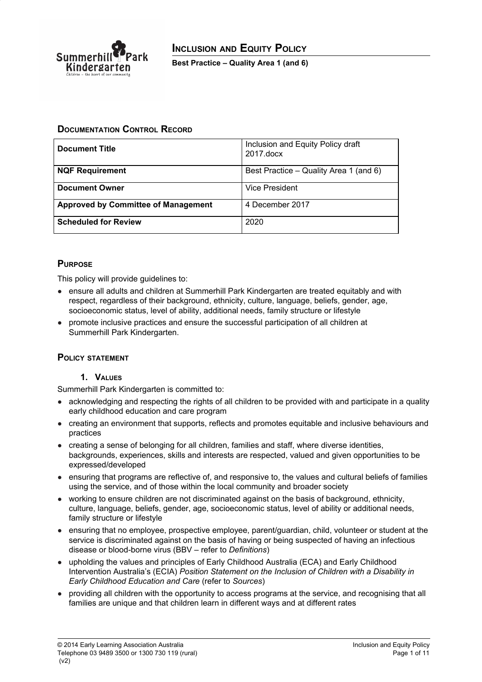

### **DOCUMENTATION CONTROL RECORD**

| <b>Document Title</b>                      | Inclusion and Equity Policy draft<br>2017.docx |
|--------------------------------------------|------------------------------------------------|
| <b>NQF Requirement</b>                     | Best Practice – Quality Area 1 (and 6)         |
| <b>Document Owner</b>                      | <b>Vice President</b>                          |
| <b>Approved by Committee of Management</b> | 4 December 2017                                |
| <b>Scheduled for Review</b>                | 2020                                           |

## **PURPOSE**

This policy will provide guidelines to:

- ensure all adults and children at Summerhill Park Kindergarten are treated equitably and with respect, regardless of their background, ethnicity, culture, language, beliefs, gender, age, socioeconomic status, level of ability, additional needs, family structure or lifestyle
- promote inclusive practices and ensure the successful participation of all children at Summerhill Park Kindergarten.

### **POLICY STATEMENT**

#### **1. VALUES**

Summerhill Park Kindergarten is committed to:

- acknowledging and respecting the rights of all children to be provided with and participate in a quality early childhood education and care program
- creating an environment that supports, reflects and promotes equitable and inclusive behaviours and practices
- creating a sense of belonging for all children, families and staff, where diverse identities, backgrounds, experiences, skills and interests are respected, valued and given opportunities to be expressed/developed
- ensuring that programs are reflective of, and responsive to, the values and cultural beliefs of families using the service, and of those within the local community and broader society
- working to ensure children are not discriminated against on the basis of background, ethnicity, culture, language, beliefs, gender, age, socioeconomic status, level of ability or additional needs, family structure or lifestyle
- ensuring that no employee, prospective employee, parent/guardian, child, volunteer or student at the service is discriminated against on the basis of having or being suspected of having an infectious disease or blood-borne virus (BBV – refer to *Definitions*)
- upholding the values and principles of Early Childhood Australia (ECA) and Early Childhood Intervention Australia's (ECIA) *Position Statement on the Inclusion of Children with a Disability in Early Childhood Education and Care* (refer to *Sources*)
- providing all children with the opportunity to access programs at the service, and recognising that all families are unique and that children learn in different ways and at different rates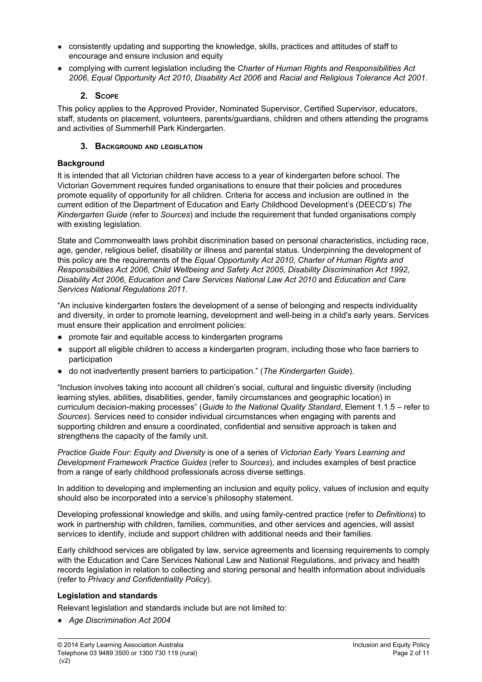- consistently updating and supporting the knowledge, skills, practices and attitudes of staff to encourage and ensure inclusion and equity
- *●* complying with current legislation including the *Charter of Human Rights and [Responsibilities](http://www.legislation.vic.gov.au/Domino/Web_Notes/LDMS/PubStatbook.nsf/f932b66241ecf1b7ca256e92000e23be/54d73763ef9dca36ca2571b6002428b0!OpenDocument) Act [2006](http://www.legislation.vic.gov.au/Domino/Web_Notes/LDMS/PubStatbook.nsf/f932b66241ecf1b7ca256e92000e23be/54d73763ef9dca36ca2571b6002428b0!OpenDocument)*, *Equal Opportunity Act 2010*, *Disability Act 2006* and *Racial and Religious Tolerance Act 2001*.

## **2. SCOPE**

This policy applies to the Approved Provider, Nominated Supervisor, Certified Supervisor, educators, staff, students on placement, volunteers, parents/guardians, children and others attending the programs and activities of Summerhill Park Kindergarten.

### **3. BACKGROUND AND LEGISLATION**

## **Background**

It is intended that all Victorian children have access to a year of kindergarten before school. The Victorian Government requires funded organisations to ensure that their policies and procedures promote equality of opportunity for all children. Criteria for access and inclusion are outlined in the current edition of the Department of Education and Early Childhood Development's (DEECD's) *The Kindergarten Guide* (refer to *Sources*) and include the requirement that funded organisations comply with existing legislation.

State and Commonwealth laws prohibit discrimination based on personal characteristics, including race, age, gender, religious belief, disability or illness and parental status. Underpinning the development of this policy are the requirements of the *Equal Opportunity Act 2010*, *Charter of Human Rights and Responsibilities Act 2006*, *Child Wellbeing and Safety Act 2005*, *Disability Discrimination Act 1992*, *Disability Act 2006*, *Education and Care Services National Law Act 2010* and *Education and Care Services National Regulations 2011.*

"An inclusive kindergarten fosters the development of a sense of belonging and respects individuality and diversity, in order to promote learning, development and well-being in a child's early years. Services must ensure their application and enrolment policies:

- promote fair and equitable access to kindergarten programs
- support all eligible children to access a kindergarten program, including those who face barriers to participation
- do not inadvertently present barriers to participation." (*The Kindergarten Guide*).

"Inclusion involves taking into account all children's social, cultural and linguistic diversity (including learning styles, abilities, disabilities, gender, family circumstances and geographic location) in curriculum decision-making processes" (*Guide to the National Quality Standard*, Element 1.1.5 – refer to *Sources*). Services need to consider individual circumstances when engaging with parents and supporting children and ensure a coordinated, confidential and sensitive approach is taken and strengthens the capacity of the family unit.

*Practice Guide Four: Equity and Diversity* is one of a series of *Victorian Early Years Learning and Development Framework Practice Guides* (refer to *Sources*), and includes examples of best practice from a range of early childhood professionals across diverse settings.

In addition to developing and implementing an inclusion and equity policy, values of inclusion and equity should also be incorporated into a service's philosophy statement.

Developing professional knowledge and skills, and using family-centred practice (refer to *Definitions*) to work in partnership with children, families, communities, and other services and agencies, will assist services to identify, include and support children with additional needs and their families.

Early childhood services are obligated by law, service agreements and licensing requirements to comply with the Education and Care Services National Law and National Regulations, and privacy and health records legislation in relation to collecting and storing personal and health information about individuals (refer to *Privacy and Confidentiality Policy*).

### **Legislation and standards**

Relevant legislation and standards include but are not limited to:

*● Age Discrimination Act 2004*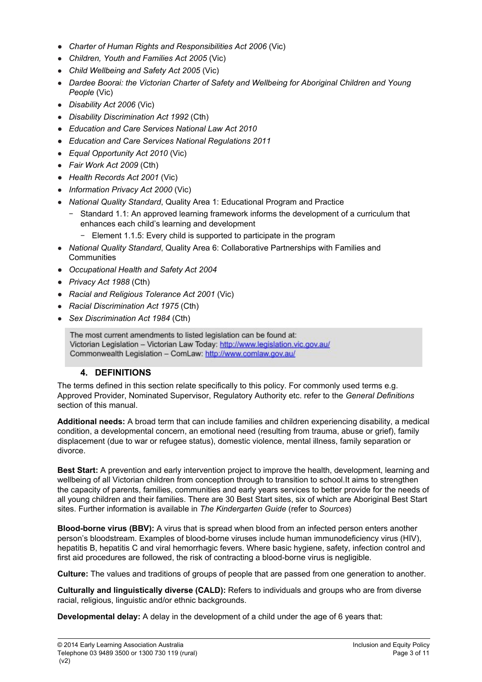- *Charter of Human Rights and [Responsibilities](http://www.legislation.vic.gov.au/Domino/Web_Notes/LDMS/PubStatbook.nsf/f932b66241ecf1b7ca256e92000e23be/54d73763ef9dca36ca2571b6002428b0!OpenDocument) Act 2006* [\(Vic\)](http://www.legislation.vic.gov.au/Domino/Web_Notes/LDMS/PubStatbook.nsf/f932b66241ecf1b7ca256e92000e23be/54d73763ef9dca36ca2571b6002428b0!OpenDocument)
- *Children, Youth and Families Act 2005* (Vic)
- *Child Wellbeing and Safety Act 2005* (Vic)
- *Dardee Boorai: the Victorian Charter of Safety and Wellbeing for Aboriginal Children and Young People* (Vic)
- *Disability Act 2006* (Vic)
- *Disability Discrimination Act 1992* (Cth)
- *● Education and Care Services National Law Act 2010*
- *● Education and Care Services National Regulations 2011*
- *Equal Opportunity Act 2010* (Vic)
- *Fair Work Act 2009* (Cth)
- *Health Records Act 2001* (Vic)
- *Information Privacy Act 2000* (Vic)
- *National Quality Standard*, Quality Area 1: Educational Program and Practice
	- − Standard 1.1: An approved learning framework informs the development of a curriculum that enhances each child's learning and development
		- Element 1.1.5: Every child is supported to participate in the program
- *National Quality Standard*, Quality Area 6: Collaborative Partnerships with Families and **Communities**
- *● Occupational Health and Safety Act 2004*
- *● Privacy Act 1988* (Cth)
- *● Racial and Religious Tolerance Act 2001* (Vic)
- *Racial Discrimination Act 1975* (Cth)
- *Sex Discrimination Act 1984* (Cth)

The most current amendments to listed legislation can be found at: Victorian Legislation - Victorian Law Today: http://www.legislation.vic.gov.au/ Commonwealth Legislation - ComLaw: http://www.comlaw.gov.au/

# **4. DEFINITIONS**

The terms defined in this section relate specifically to this policy. For commonly used terms e.g. Approved Provider, Nominated Supervisor, Regulatory Authority etc. refer to the *General Definitions* section of this manual.

**Additional needs:** A broad term that can include families and children experiencing disability, a medical condition, a developmental concern, an emotional need (resulting from trauma, abuse or grief), family displacement (due to war or refugee status), domestic violence, mental illness, family separation or divorce.

**Best Start:** A prevention and early intervention project to improve the health, development, learning and wellbeing of all Victorian children from conception through to transition to school.It aims to strengthen the capacity of parents, families, communities and early years services to better provide for the needs of all young children and their families. There are 30 Best Start sites, six of which are Aboriginal Best Start sites. Further information is available in *The Kindergarten Guide* (refer to *Sources*)

**Blood-borne virus (BBV):** A virus that is spread when blood from an infected person enters another person's bloodstream. Examples of blood-borne viruses include human immunodeficiency virus [\(HIV](http://en.wikipedia.org/wiki/HIV)), [hepatitis](http://en.wikipedia.org/wiki/Hepatitis_B) B, [hepatitis](http://en.wikipedia.org/wiki/Hepatitis_C) C and viral [hemorrhagic](http://en.wikipedia.org/wiki/Viral_hemorrhagic_fever) fevers. Where basic hygiene, safety, infection control and first aid procedures are followed, the risk of contracting a blood-borne virus is negligible.

**Culture:** The values and traditions of groups of people that are passed from one generation to another.

**Culturally and linguistically diverse (CALD):** Refers to individuals and groups who are from diverse racial, religious, linguistic and/or ethnic backgrounds.

**Developmental delay:** A delay in the development of a child under the age of 6 years that: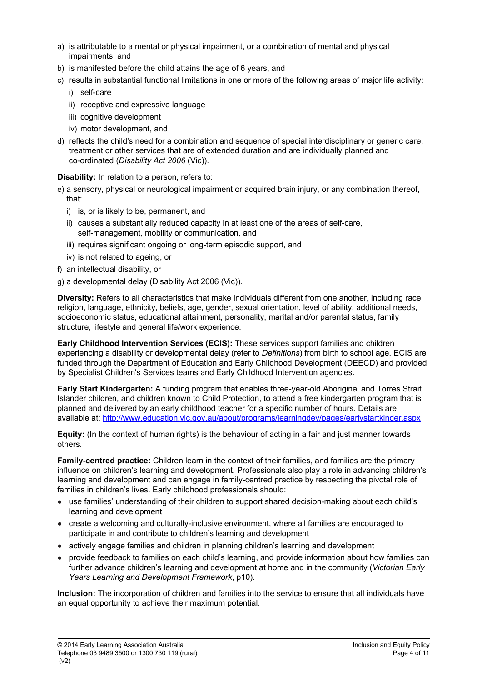- a) is attributable to a mental or physical impairment, or a combination of mental and physical impairments, and
- b) is manifested before the child attains the age of 6 years, and
- c) results in substantial functional limitations in one or more of the following areas of major life activity:
	- i) self-care
	- ii) receptive and expressive language
	- iii) cognitive development
	- iv) motor development, and
- d) reflects the child's need for a combination and sequence of special interdisciplinary or generic care, treatment or other services that are of extended duration and are individually planned and co-ordinated (*Disability Act 2006* (Vic)).

**Disability:** In relation to a person, refers to:

- e) a sensory, physical or neurological impairment or acquired brain injury, or any combination thereof, that:
	- i) is, or is likely to be, permanent, and
	- ii) causes a substantially reduced capacity in at least one of the areas of self-care, self-management, mobility or communication, and
	- iii) requires significant ongoing or long-term episodic support, and
	- iv) is not related to ageing, or
- f) an intellectual disability, or
- g) a developmental delay (Disability Act 2006 (Vic)).

**Diversity:** Refers to all characteristics that make individuals different from one another, including race, religion, language, ethnicity, beliefs, age, gender, sexual orientation, level of ability, additional needs, socioeconomic status, educational attainment, personality, marital and/or parental status, family structure, lifestyle and general life/work experience.

**Early Childhood Intervention Services (ECIS):** These services support families and children experiencing a disability or developmental delay (refer to *Definitions*) from birth to school age. ECIS are funded through the Department of Education and Early Childhood Development (DEECD) and provided by Specialist Children's Services teams and Early Childhood Intervention agencies.

**Early Start Kindergarten:** A funding program that enables three-year-old Aboriginal and Torres Strait Islander children, and children known to Child Protection, to attend a free kindergarten program that is planned and delivered by an early childhood teacher for a specific number of hours. Details are available at: <http://www.education.vic.gov.au/about/programs/learningdev/pages/earlystartkinder.aspx>

**Equity:** (In the context of human rights) is the behaviour of acting in a fair and just manner towards others.

**Family-centred practice:** Children learn in the context of their families, and families are the primary influence on children's learning and development. Professionals also play a role in advancing children's learning and development and can engage in family-centred practice by respecting the pivotal role of families in children's lives. Early childhood professionals should:

- use families' understanding of their children to support shared decision-making about each child's learning and development
- create a welcoming and culturally-inclusive environment, where all families are encouraged to participate in and contribute to children's learning and development
- actively engage families and children in planning children's learning and development
- provide feedback to families on each child's learning, and provide information about how families can further advance children's learning and development at home and in the community (*Victorian Early Years Learning and Development Framework*, p10).

**Inclusion:** The incorporation of children and families into the service to ensure that all individuals have an equal opportunity to achieve their maximum potential.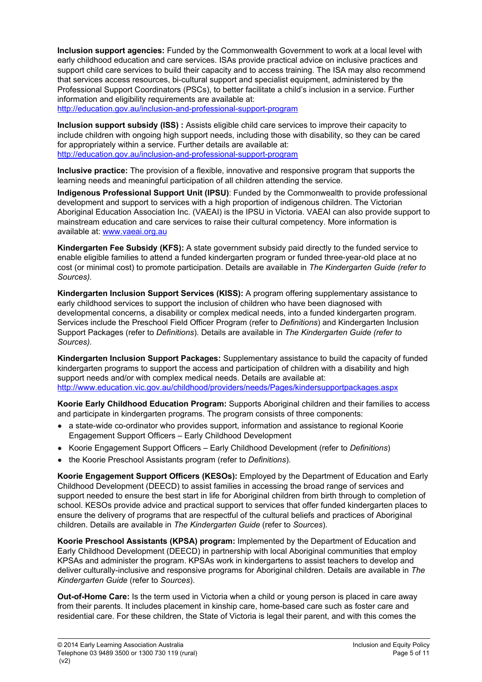**Inclusion support agencies:** Funded by the Commonwealth Government to work at a local level with early childhood education and care services. ISAs provide practical advice on inclusive practices and support child care services to build their capacity and to access training. The ISA may also recommend that services access resources, bi-cultural support and specialist equipment, administered by the Professional Support Coordinators (PSCs), to better facilitate a child's inclusion in a service. Further information and eligibility requirements are available at:

<http://education.gov.au/inclusion-and-professional-support-program>

**Inclusion support subsidy (ISS) :** Assists eligible child care services to improve their capacity to include children with ongoing high support needs, including those with disability, so they can be cared for appropriately within a service. Further details are available at: <http://education.gov.au/inclusion-and-professional-support-program>

**Inclusive practice:** The provision of a flexible, innovative and responsive program that supports the learning needs and meaningful participation of all children attending the service.

**Indigenous Professional Support Unit (IPSU)**: Funded by the Commonwealth to provide professional development and support to services with a high proportion of indigenous children. The Victorian Aboriginal Education Association Inc. (VAEAI) is the IPSU in Victoria. VAEAI can also provide support to mainstream education and care services to raise their cultural competency. More information is available at: [www.vaeai.org.au](http://www.vaeai.org.au/)

**Kindergarten Fee Subsidy (KFS):** A state government subsidy paid directly to the funded service to enable eligible families to attend a funded kindergarten program or funded three-year-old place at no cost (or minimal cost) to promote participation. Details are available in *The Kindergarten Guide (refer to Sources).*

**Kindergarten Inclusion Support Services (KISS):** A program offering supplementary assistance to early childhood services to support the inclusion of children who have been diagnosed with developmental concerns, a disability or complex medical needs, into a funded kindergarten program. Services include the Preschool Field Officer Program (refer to *Definitions*) and Kindergarten Inclusion Support Packages (refer to *Definitions*). Details are available in *The Kindergarten Guide (refer to Sources).*

**Kindergarten Inclusion Support Packages:** Supplementary assistance to build the capacity of funded kindergarten programs to support the access and participation of children with a disability and high support needs and/or with complex medical needs. Details are available at: <http://www.education.vic.gov.au/childhood/providers/needs/Pages/kindersupportpackages.aspx>

**Koorie Early Childhood Education Program:** Supports Aboriginal children and their families to access and participate in kindergarten programs. The program consists of three components:

- a state-wide co-ordinator who provides support, information and assistance to regional Koorie Engagement Support Officers – Early Childhood Development
- Koorie Engagement Support Officers Early Childhood Development (refer to *Definitions*)
- the Koorie Preschool Assistants program (refer to *Definitions*).

**Koorie Engagement Support Officers (KESOs):** Employed by the Department of Education and Early Childhood Development (DEECD) to assist families in accessing the broad range of services and support needed to ensure the best start in life for Aboriginal children from birth through to completion of school. KESOs provide advice and practical support to services that offer funded kindergarten places to ensure the delivery of programs that are respectful of the cultural beliefs and practices of Aboriginal children. Details are available in *The Kindergarten Guide* (refer to *Sources*).

**Koorie Preschool Assistants (KPSA) program:** Implemented by the Department of Education and Early Childhood Development (DEECD) in partnership with local Aboriginal communities that employ KPSAs and administer the program. KPSAs work in kindergartens to assist teachers to develop and deliver culturally-inclusive and responsive programs for Aboriginal children. Details are available in *The Kindergarten Guide* (refer to *Sources*).

**Out-of-Home Care:** Is the term used in Victoria when a child or young person is placed in care away from their parents. It includes placement in kinship care, home-based care such as foster care and residential care. For these children, the State of Victoria is legal their parent, and with this comes the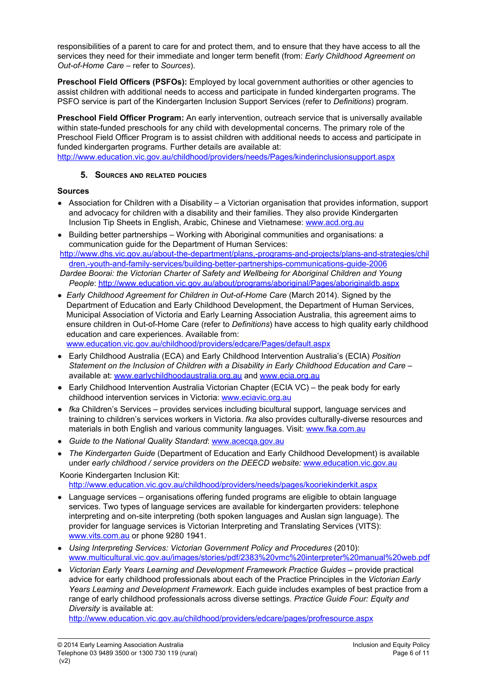responsibilities of a parent to care for and protect them, and to ensure that they have access to all the services they need for their immediate and longer term benefit (from: *Early Childhood Agreement on Out-of-Home Care* – refer to *Sources*).

**Preschool Field Officers (PSFOs):** Employed by local government authorities or other agencies to assist children with additional needs to access and participate in funded kindergarten programs. The PSFO service is part of the Kindergarten Inclusion Support Services (refer to *Definitions*) program.

**Preschool Field Officer Program:** An early intervention, outreach service that is universally available within state-funded preschools for any child with developmental concerns. The primary role of the Preschool Field Officer Program is to assist children with additional needs to access and participate in funded kindergarten programs. Further details are available at:

<http://www.education.vic.gov.au/childhood/providers/needs/Pages/kinderinclusionsupport.aspx>

#### **5. SOURCES AND RELATED POLICIES**

#### **Sources**

- Association for Children with a Disability a Victorian organisation that provides information, support and advocacy for children with a disability and their families. They also provide Kindergarten Inclusion Tip Sheets in English, Arabic, Chinese and Vietnamese: [www.acd.org.au](http://www.acd.org.au/)
- Building better partnerships Working with Aboriginal communities and organisations: a communication guide for the Department of Human Services:
- [http://www.dhs.vic.gov.au/about-the-department/plans,-programs-and-projects/plans-and-strategies/chil](http://www.dhs.vic.gov.au/about-the-department/plans,-programs-and-projects/plans-and-strategies/children,-youth-and-family-services/building-better-partnerships-communications-guide-2006) [dren,-youth-and-family-services/building-better-partnerships-communications-guide-2006](http://www.dhs.vic.gov.au/about-the-department/plans,-programs-and-projects/plans-and-strategies/children,-youth-and-family-services/building-better-partnerships-communications-guide-2006)
- *Dardee Boorai: the Victorian Charter of Safety and Wellbeing for Aboriginal Children and Young People*: <http://www.education.vic.gov.au/about/programs/aboriginal/Pages/aboriginaldb.aspx>
- *Early Childhood Agreement for Children in Out-of-Home Care* (March 2014). Signed by the Department of Education and Early Childhood Development, the Department of Human Services, Municipal Association of Victoria and Early Learning Association Australia, this agreement aims to ensure children in Out-of-Home Care (refer to *Definitions*) have access to high quality early childhood education and care experiences. Available from: [www.education.vic.gov.au/childhood/providers/edcare/Pages/default.aspx](http://www.education.vic.gov.au/childhood/providers/edcare/Pages/default.aspx)
- Early Childhood Australia (ECA) and Early Childhood Intervention Australia's (ECIA) *Position Statement on the Inclusion of Children with a Disability in Early Childhood Education and Care –* available at: [www.earlychildhoodaustralia.org.au](http://www.earlychildhoodaustralia.org.au/) and [www.ecia.org.au](http://www.ecia.org.au/)
- *●* Early Childhood Intervention Australia Victorian Chapter (ECIA VC) the peak body for early childhood intervention services in Victoria: [www.eciavic.org.au](http://www.eciavic.org.au/)
- *● fka* Children's Services provides services including bicultural support, language services and training to children's services workers in Victoria. *fka* also provides culturally-diverse resources and materials in both English and various community languages. Visit: [www.fka.com.au](http://www.fka.com.au/)
- *Guide to the National Quality Standard*: [www.acecqa.gov.au](http://www.acecqa.gov.au/)
- *The Kindergarten Guide* (Department of Education and Early Childhood Development) is available under *early childhood / service providers on the DEECD website:* [www.education.vic.gov.au](http://www.education.vic.gov.au/)

Koorie Kindergarten Inclusion Kit: <http://www.education.vic.gov.au/childhood/providers/needs/pages/kooriekinderkit.aspx>

- Language services organisations offering funded programs are eligible to obtain language services. Two types of language services are available for kindergarten providers: telephone interpreting and on-site interpreting (both spoken languages and Auslan sign language). The provider for language services is Victorian Interpreting and Translating Services (VITS): [www.vits.com.au](http://www.vits.com.au/) or phone 9280 1941.
- *Using Interpreting Services: Victorian Government Policy and Procedures* (2010): [www.multicultural.vic.gov.au/images/stories/pdf/2383%20vmc%20interpreter%20manual%20web.pdf](http://www.multicultural.vic.gov.au/images/stories/pdf/2383%20vmc%20interpreter%20manual%20web.pdf)
- *Victorian Early Years Learning and Development Framework Practice Guides* provide practical advice for early childhood professionals about each of the Practice Principles in the *Victorian Early Years Learning and Development Framework*. Each guide includes examples of best practice from a range of early childhood professionals across diverse settings. *Practice Guide Four: Equity and Diversity* is available at:

<http://www.education.vic.gov.au/childhood/providers/edcare/pages/profresource.aspx>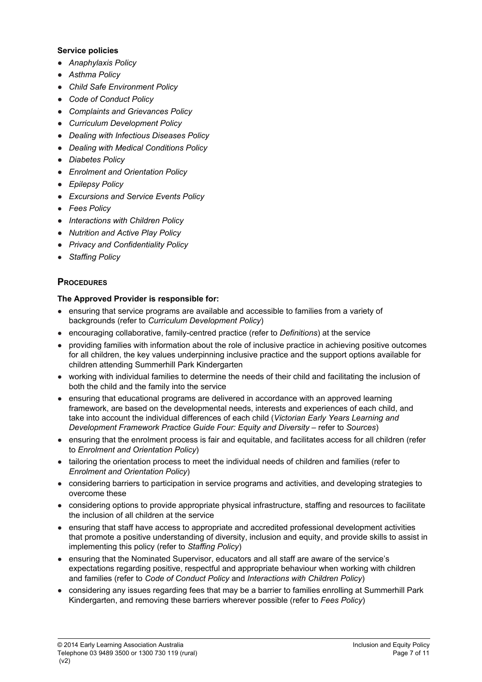#### **Service policies**

- *● Anaphylaxis Policy*
- *● Asthma Policy*
- *● Child Safe Environment Policy*
- *● Code of Conduct Policy*
- *● Complaints and Grievances Policy*
- *● Curriculum Development Policy*
- *● Dealing with Infectious Diseases Policy*
- *● Dealing with Medical Conditions Policy*
- *● Diabetes Policy*
- *● Enrolment and Orientation Policy*
- *● Epilepsy Policy*
- *● Excursions and Service Events Policy*
- *Fees Policy*
- *● Interactions with Children Policy*
- *● Nutrition and Active Play Policy*
- *● Privacy and Confidentiality Policy*
- *Staffing Policy*

### **PROCEDURES**

### **The Approved Provider is responsible for:**

- ensuring that service programs are available and accessible to families from a variety of backgrounds (refer to *Curriculum Development Policy*)
- encouraging collaborative, family-centred practice (refer to *Definitions*) at the service
- providing families with information about the role of inclusive practice in achieving positive outcomes for all children, the key values underpinning inclusive practice and the support options available for children attending Summerhill Park Kindergarten
- working with individual families to determine the needs of their child and facilitating the inclusion of both the child and the family into the service
- ensuring that educational programs are delivered in accordance with an approved learning framework, are based on the developmental needs, interests and experiences of each child, and take into account the individual differences of each child (*Victorian Early Years Learning and Development Framework Practice Guide Four: Equity and Diversity* – refer to *Sources*)
- ensuring that the enrolment process is fair and equitable, and facilitates access for all children (refer to *Enrolment and Orientation Policy*)
- tailoring the orientation process to meet the individual needs of children and families (refer to *Enrolment and Orientation Policy*)
- considering barriers to participation in service programs and activities, and developing strategies to overcome these
- considering options to provide appropriate physical infrastructure, staffing and resources to facilitate the inclusion of all children at the service
- ensuring that staff have access to appropriate and accredited professional development activities that promote a positive understanding of diversity, inclusion and equity, and provide skills to assist in implementing this policy (refer to *Staffing Policy*)
- ensuring that the Nominated Supervisor, educators and all staff are aware of the service's expectations regarding positive, respectful and appropriate behaviour when working with children and families (refer to *Code of Conduct Policy* and *Interactions with Children Policy*)
- considering any issues regarding fees that may be a barrier to families enrolling at Summerhill Park Kindergarten, and removing these barriers wherever possible (refer to *Fees Policy*)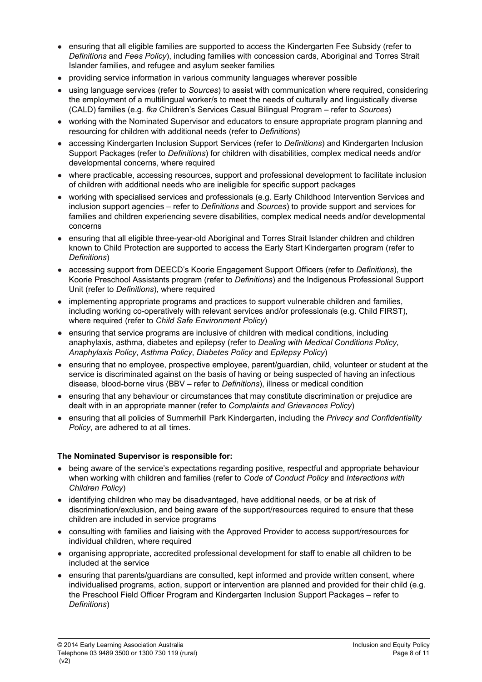- ensuring that all eligible families are supported to access the Kindergarten Fee Subsidy (refer to *Definitions* and *Fees Policy*), including families with concession cards, Aboriginal and Torres Strait Islander families, and refugee and asylum seeker families
- providing service information in various community languages wherever possible
- using language services (refer to *Sources*) to assist with communication where required, considering the employment of a multilingual worker/s to meet the needs of culturally and linguistically diverse (CALD) families (e.g. *fka* Children's Services Casual Bilingual Program – refer to *Sources*)
- working with the Nominated Supervisor and educators to ensure appropriate program planning and resourcing for children with additional needs (refer to *Definitions*)
- accessing Kindergarten Inclusion Support Services (refer to *Definitions*) and Kindergarten Inclusion Support Packages (refer to *Definitions*) for children with disabilities, complex medical needs and/or developmental concerns, where required
- where practicable, accessing resources, support and professional development to facilitate inclusion of children with additional needs who are ineligible for specific support packages
- working with specialised services and professionals (e.g. Early Childhood Intervention Services and inclusion support agencies – refer to *Definitions* and *Sources*) to provide support and services for families and children experiencing severe disabilities, complex medical needs and/or developmental concerns
- ensuring that all eligible three-year-old Aboriginal and Torres Strait Islander children and children known to Child Protection are supported to access the Early Start Kindergarten program (refer to *Definitions*)
- accessing support from DEECD's Koorie Engagement Support Officers (refer to *Definitions*), the Koorie Preschool Assistants program (refer to *Definitions*) and the Indigenous Professional Support Unit (refer to *Definitions*), where required
- implementing appropriate programs and practices to support vulnerable children and families, including working co-operatively with relevant services and/or professionals (e.g. Child FIRST), where required (refer to *Child Safe Environment Policy*)
- **●** ensuring that service programs are inclusive of children with medical conditions, including anaphylaxis, asthma, diabetes and epilepsy (refer to *Dealing with Medical Conditions Policy*, *Anaphylaxis Policy*, *Asthma Policy*, *Diabetes Policy* and *Epilepsy Policy*)
- ensuring that no employee, prospective employee, parent/guardian, child, volunteer or student at the service is discriminated against on the basis of having or being suspected of having an infectious disease, blood-borne virus (BBV – refer to *Definitions*), illness or medical condition
- ensuring that any behaviour or circumstances that may constitute discrimination or prejudice are dealt with in an appropriate manner (refer to *Complaints and Grievances Policy*)
- ensuring that all policies of Summerhill Park Kindergarten, including the *Privacy and Confidentiality Policy*, are adhered to at all times.

### **The Nominated Supervisor is responsible for:**

- being aware of the service's expectations regarding positive, respectful and appropriate behaviour when working with children and families (refer to *Code of Conduct Policy* and *Interactions with Children Policy*)
- identifying children who may be disadvantaged, have additional needs, or be at risk of discrimination/exclusion, and being aware of the support/resources required to ensure that these children are included in service programs
- consulting with families and liaising with the Approved Provider to access support/resources for individual children, where required
- organising appropriate, accredited professional development for staff to enable all children to be included at the service
- ensuring that parents/guardians are consulted, kept informed and provide written consent, where individualised programs, action, support or intervention are planned and provided for their child (e.g. the Preschool Field Officer Program and Kindergarten Inclusion Support Packages – refer to *Definitions*)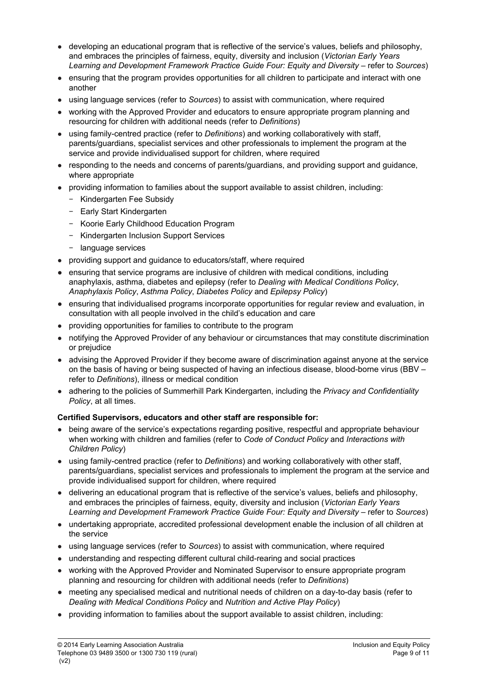- developing an educational program that is reflective of the service's values, beliefs and philosophy, and embraces the principles of fairness, equity, diversity and inclusion (*Victorian Early Years Learning and Development Framework Practice Guide Four: Equity and Diversity* – refer to *Sources*)
- ensuring that the program provides opportunities for all children to participate and interact with one another
- using language services (refer to *Sources*) to assist with communication, where required
- working with the Approved Provider and educators to ensure appropriate program planning and resourcing for children with additional needs (refer to *Definitions*)
- using family-centred practice (refer to *Definitions*) and working collaboratively with staff, parents/guardians, specialist services and other professionals to implement the program at the service and provide individualised support for children, where required
- responding to the needs and concerns of parents/guardians, and providing support and guidance, where appropriate
- providing information to families about the support available to assist children, including:
	- − Kindergarten Fee Subsidy
	- − Early Start Kindergarten
	- − Koorie Early Childhood Education Program
	- − Kindergarten Inclusion Support Services
	- − language services
- providing support and guidance to educators/staff, where required
- **●** ensuring that service programs are inclusive of children with medical conditions, including anaphylaxis, asthma, diabetes and epilepsy (refer to *Dealing with Medical Conditions Policy*, *Anaphylaxis Policy*, *Asthma Policy*, *Diabetes Policy* and *Epilepsy Policy*)
- **●** ensuring that individualised programs incorporate opportunities for regular review and evaluation, in consultation with all people involved in the child's education and care
- providing opportunities for families to contribute to the program
- notifying the Approved Provider of any behaviour or circumstances that may constitute discrimination or prejudice
- advising the Approved Provider if they become aware of discrimination against anyone at the service on the basis of having or being suspected of having an infectious disease, blood-borne virus (BBV – refer to *Definitions*), illness or medical condition
- adhering to the policies of Summerhill Park Kindergarten, including the *Privacy and Confidentiality Policy*, at all times.

#### **Certified Supervisors, educators and other staff are responsible for:**

- being aware of the service's expectations regarding positive, respectful and appropriate behaviour when working with children and families (refer to *Code of Conduct Policy* and *Interactions with Children Policy*)
- using family-centred practice (refer to *Definitions*) and working collaboratively with other staff, parents/guardians, specialist services and professionals to implement the program at the service and provide individualised support for children, where required
- delivering an educational program that is reflective of the service's values, beliefs and philosophy, and embraces the principles of fairness, equity, diversity and inclusion (*Victorian Early Years Learning and Development Framework Practice Guide Four: Equity and Diversity* – refer to *Sources*)
- undertaking appropriate, accredited professional development enable the inclusion of all children at the service
- using language services (refer to *Sources*) to assist with communication, where required
- understanding and respecting different cultural child-rearing and social practices
- working with the Approved Provider and Nominated Supervisor to ensure appropriate program planning and resourcing for children with additional needs (refer to *Definitions*)
- **●** meeting any specialised medical and nutritional needs of children on a day-to-day basis (refer to *Dealing with Medical Conditions Policy* and *Nutrition and Active Play Policy*)
- providing information to families about the support available to assist children, including: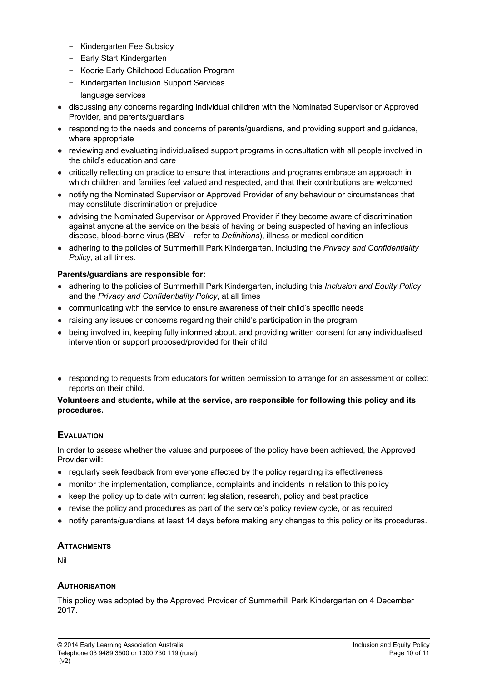- − Kindergarten Fee Subsidy
- − Early Start Kindergarten
- − Koorie Early Childhood Education Program
- − Kindergarten Inclusion Support Services
- − language services
- discussing any concerns regarding individual children with the Nominated Supervisor or Approved Provider, and parents/guardians
- responding to the needs and concerns of parents/guardians, and providing support and guidance, where appropriate
- **●** reviewing and evaluating individualised support programs in consultation with all people involved in the child's education and care
- critically reflecting on practice to ensure that interactions and programs embrace an approach in which children and families feel valued and respected, and that their contributions are welcomed
- notifying the Nominated Supervisor or Approved Provider of any behaviour or circumstances that may constitute discrimination or prejudice
- advising the Nominated Supervisor or Approved Provider if they become aware of discrimination against anyone at the service on the basis of having or being suspected of having an infectious disease, blood-borne virus (BBV – refer to *Definitions*), illness or medical condition
- adhering to the policies of Summerhill Park Kindergarten, including the *Privacy and Confidentiality Policy*, at all times.

## **Parents/guardians are responsible for:**

- adhering to the policies of Summerhill Park Kindergarten, including this *Inclusion and Equity Policy* and the *Privacy and Confidentiality Policy*, at all times
- communicating with the service to ensure awareness of their child's specific needs
- raising any issues or concerns regarding their child's participation in the program
- being involved in, keeping fully informed about, and providing written consent for any individualised intervention or support proposed/provided for their child
- responding to requests from educators for written permission to arrange for an assessment or collect reports on their child.

#### **Volunteers and students, while at the service, are responsible for following this policy and its procedures.**

# **EVALUATION**

In order to assess whether the values and purposes of the policy have been achieved, the Approved Provider will:

- regularly seek feedback from everyone affected by the policy regarding its effectiveness
- monitor the implementation, compliance, complaints and incidents in relation to this policy
- keep the policy up to date with current legislation, research, policy and best practice
- revise the policy and procedures as part of the service's policy review cycle, or as required
- **●** notify parents/guardians at least 14 days before making any changes to this policy or its procedures.

# **ATTACHMENTS**

Nil

# **AUTHORISATION**

This policy was adopted by the Approved Provider of Summerhill Park Kindergarten on 4 December 2017.